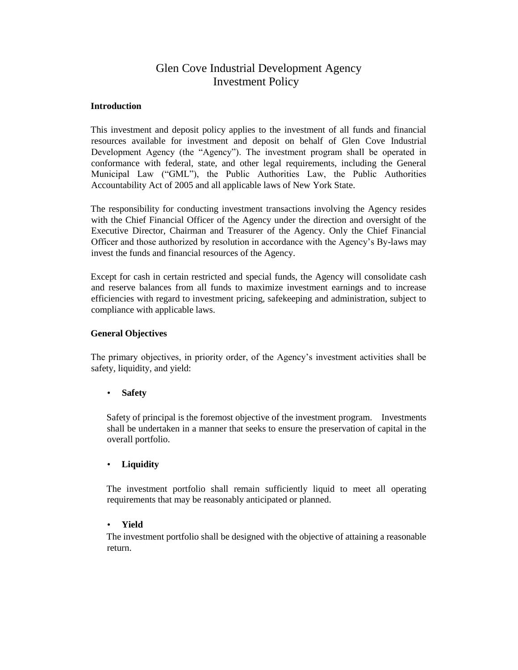# Glen Cove Industrial Development Agency Investment Policy

### **Introduction**

This investment and deposit policy applies to the investment of all funds and financial resources available for investment and deposit on behalf of Glen Cove Industrial Development Agency (the "Agency"). The investment program shall be operated in conformance with federal, state, and other legal requirements, including the General Municipal Law ("GML"), the Public Authorities Law, the Public Authorities Accountability Act of 2005 and all applicable laws of New York State.

The responsibility for conducting investment transactions involving the Agency resides with the Chief Financial Officer of the Agency under the direction and oversight of the Executive Director, Chairman and Treasurer of the Agency. Only the Chief Financial Officer and those authorized by resolution in accordance with the Agency's By-laws may invest the funds and financial resources of the Agency.

Except for cash in certain restricted and special funds, the Agency will consolidate cash and reserve balances from all funds to maximize investment earnings and to increase efficiencies with regard to investment pricing, safekeeping and administration, subject to compliance with applicable laws.

### **General Objectives**

The primary objectives, in priority order, of the Agency's investment activities shall be safety, liquidity, and yield:

### • **Safety**

Safety of principal is the foremost objective of the investment program. Investments shall be undertaken in a manner that seeks to ensure the preservation of capital in the overall portfolio.

### • **Liquidity**

The investment portfolio shall remain sufficiently liquid to meet all operating requirements that may be reasonably anticipated or planned.

#### • **Yield**

The investment portfolio shall be designed with the objective of attaining a reasonable return.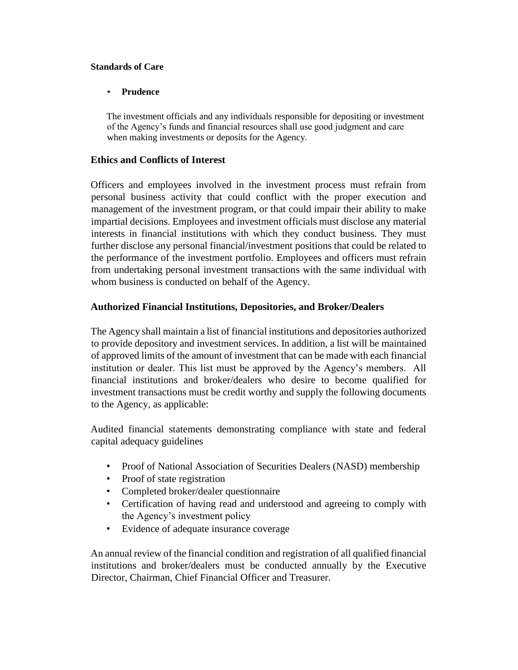### **Standards of Care**

# • **Prudence**

The investment officials and any individuals responsible for depositing or investment of the Agency's funds and financial resources shall use good judgment and care when making investments or deposits for the Agency.

# **Ethics and Conflicts of Interest**

Officers and employees involved in the investment process must refrain from personal business activity that could conflict with the proper execution and management of the investment program, or that could impair their ability to make impartial decisions. Employees and investment officials must disclose any material interests in financial institutions with which they conduct business. They must further disclose any personal financial/investment positions that could be related to the performance of the investment portfolio. Employees and officers must refrain from undertaking personal investment transactions with the same individual with whom business is conducted on behalf of the Agency.

# **Authorized Financial Institutions, Depositories, and Broker/Dealers**

The Agency shall maintain a list of financial institutions and depositories authorized to provide depository and investment services. In addition, a list will be maintained of approved limits of the amount of investment that can be made with each financial institution or dealer. This list must be approved by the Agency's members. All financial institutions and broker/dealers who desire to become qualified for investment transactions must be credit worthy and supply the following documents to the Agency, as applicable:

Audited financial statements demonstrating compliance with state and federal capital adequacy guidelines

- Proof of National Association of Securities Dealers (NASD) membership
- Proof of state registration
- Completed broker/dealer questionnaire
- Certification of having read and understood and agreeing to comply with the Agency's investment policy
- Evidence of adequate insurance coverage

An annual review of the financial condition and registration of all qualified financial institutions and broker/dealers must be conducted annually by the Executive Director, Chairman, Chief Financial Officer and Treasurer.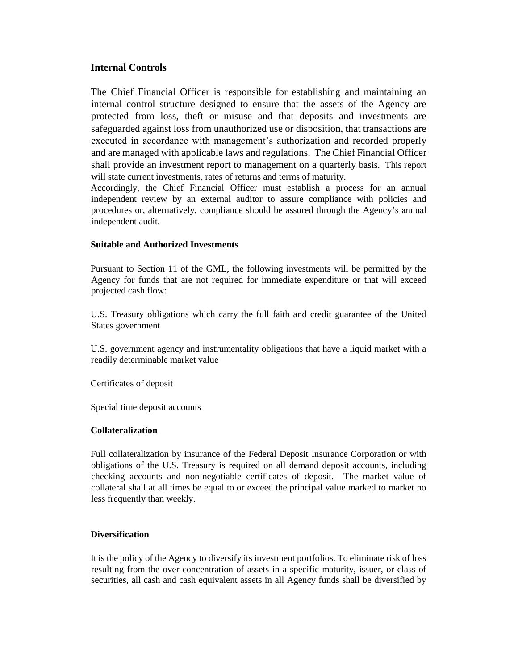# **Internal Controls**

The Chief Financial Officer is responsible for establishing and maintaining an internal control structure designed to ensure that the assets of the Agency are protected from loss, theft or misuse and that deposits and investments are safeguarded against loss from unauthorized use or disposition, that transactions are executed in accordance with management's authorization and recorded properly and are managed with applicable laws and regulations. The Chief Financial Officer shall provide an investment report to management on a quarterly basis. This report will state current investments, rates of returns and terms of maturity.

Accordingly, the Chief Financial Officer must establish a process for an annual independent review by an external auditor to assure compliance with policies and procedures or, alternatively, compliance should be assured through the Agency's annual independent audit.

### **Suitable and Authorized Investments**

Pursuant to Section 11 of the GML, the following investments will be permitted by the Agency for funds that are not required for immediate expenditure or that will exceed projected cash flow:

U.S. Treasury obligations which carry the full faith and credit guarantee of the United States government

U.S. government agency and instrumentality obligations that have a liquid market with a readily determinable market value

Certificates of deposit

Special time deposit accounts

### **Collateralization**

Full collateralization by insurance of the Federal Deposit Insurance Corporation or with obligations of the U.S. Treasury is required on all demand deposit accounts, including checking accounts and non-negotiable certificates of deposit. The market value of collateral shall at all times be equal to or exceed the principal value marked to market no less frequently than weekly.

### **Diversification**

It is the policy of the Agency to diversify its investment portfolios. To eliminate risk of loss resulting from the over-concentration of assets in a specific maturity, issuer, or class of securities, all cash and cash equivalent assets in all Agency funds shall be diversified by